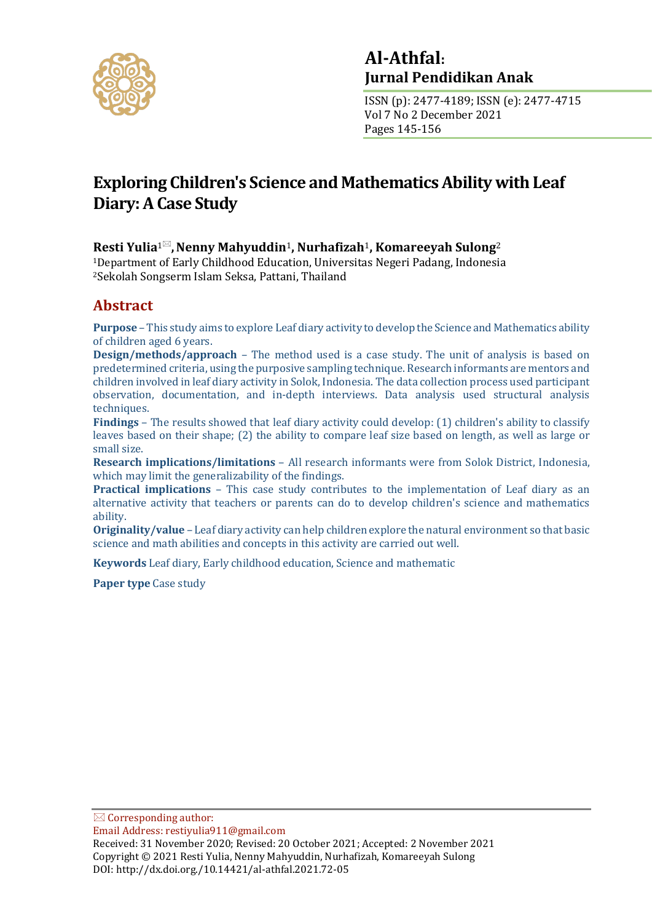

## **Al-Athfal: Jurnal Pendidikan Anak**

ISSN (p): 2477-4189; ISSN (e): 2477-4715 Vol 7 No 2 December 2021 Pages 145-156

# **Exploring Children's Science and Mathematics Ability with Leaf Diary: A Case Study**

### **Resti Yulia<sup>1⊠</sup>, Nenny Mahyuddin<sup>1</sup>, Nurhafizah<sup>1</sup>, Komareeyah Sulong<sup>2</sup>**

<sup>1</sup>Department of Early Childhood Education, Universitas Negeri Padang, Indonesia <sup>2</sup>Sekolah Songserm Islam Seksa, Pattani, Thailand

## **Abstract**

**Purpose** – This study aims to explore Leaf diary activity to develop the Science and Mathematics ability of children aged 6 years.

**Design/methods/approach** – The method used is a case study. The unit of analysis is based on predetermined criteria, using the purposive sampling technique. Research informants are mentors and children involved in leaf diary activity in Solok, Indonesia. The data collection process used participant observation, documentation, and in-depth interviews. Data analysis used structural analysis techniques.

**Findings** – The results showed that leaf diary activity could develop: (1) children's ability to classify leaves based on their shape; (2) the ability to compare leaf size based on length, as well as large or small size.

**Research implications/limitations** – All research informants were from Solok District, Indonesia, which may limit the generalizability of the findings.

**Practical implications** – This case study contributes to the implementation of Leaf diary as an alternative activity that teachers or parents can do to develop children's science and mathematics ability.

**Originality/value** – Leaf diary activity can help children explore the natural environment so that basic science and math abilities and concepts in this activity are carried out well.

**Keywords** Leaf diary, Early childhood education, Science and mathematic

**Paper type** Case study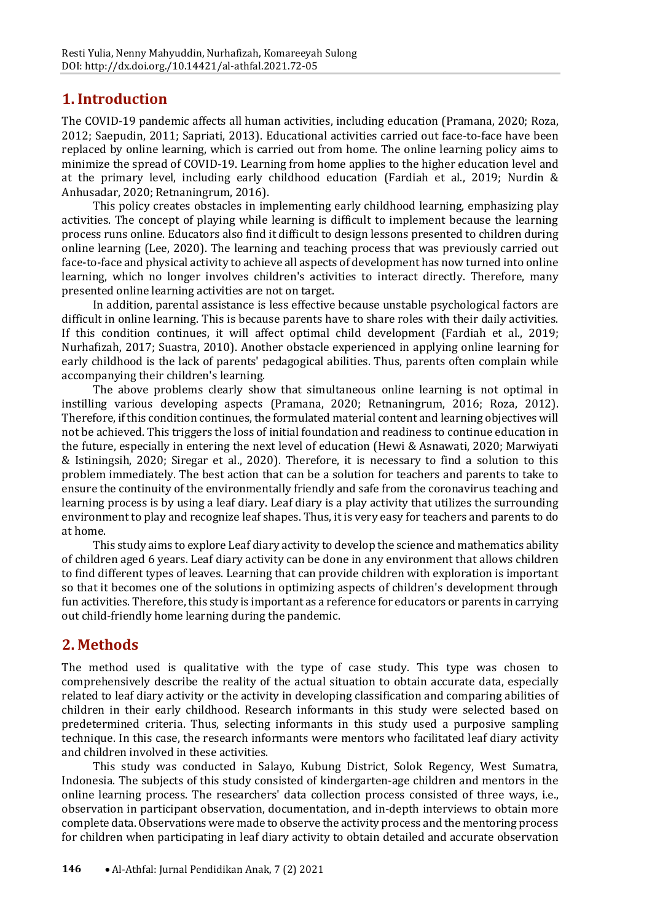### **1. Introduction**

The COVID-19 pandemic affects all human activities, including education (Pramana, 2020; Roza, 2012; Saepudin, 2011; Sapriati, 2013). Educational activities carried out face-to-face have been replaced by online learning, which is carried out from home. The online learning policy aims to minimize the spread of COVID-19. Learning from home applies to the higher education level and at the primary level, including early childhood education (Fardiah et al., 2019; Nurdin & Anhusadar, 2020; Retnaningrum, 2016).

This policy creates obstacles in implementing early childhood learning, emphasizing play activities. The concept of playing while learning is difficult to implement because the learning process runs online. Educators also find it difficult to design lessons presented to children during online learning (Lee, 2020). The learning and teaching process that was previously carried out face-to-face and physical activity to achieve all aspects of development has now turned into online learning, which no longer involves children's activities to interact directly. Therefore, many presented online learning activities are not on target.

In addition, parental assistance is less effective because unstable psychological factors are difficult in online learning. This is because parents have to share roles with their daily activities. If this condition continues, it will affect optimal child development (Fardiah et al., 2019; Nurhafizah, 2017; Suastra, 2010). Another obstacle experienced in applying online learning for early childhood is the lack of parents' pedagogical abilities. Thus, parents often complain while accompanying their children's learning.

The above problems clearly show that simultaneous online learning is not optimal in instilling various developing aspects (Pramana, 2020; Retnaningrum, 2016; Roza, 2012). Therefore, if this condition continues, the formulated material content and learning objectives will not be achieved. This triggers the loss of initial foundation and readiness to continue education in the future, especially in entering the next level of education (Hewi & Asnawati, 2020; Marwiyati & Istiningsih, 2020; Siregar et al., 2020). Therefore, it is necessary to find a solution to this problem immediately. The best action that can be a solution for teachers and parents to take to ensure the continuity of the environmentally friendly and safe from the coronavirus teaching and learning process is by using a leaf diary. Leaf diary is a play activity that utilizes the surrounding environment to play and recognize leaf shapes. Thus, it is very easy for teachers and parents to do at home.

This study aims to explore Leaf diary activity to develop the science and mathematics ability of children aged 6 years. Leaf diary activity can be done in any environment that allows children to find different types of leaves. Learning that can provide children with exploration is important so that it becomes one of the solutions in optimizing aspects of children's development through fun activities. Therefore, this study is important as a reference for educators or parents in carrying out child-friendly home learning during the pandemic.

### **2. Methods**

The method used is qualitative with the type of case study. This type was chosen to comprehensively describe the reality of the actual situation to obtain accurate data, especially related to leaf diary activity or the activity in developing classification and comparing abilities of children in their early childhood. Research informants in this study were selected based on predetermined criteria. Thus, selecting informants in this study used a purposive sampling technique. In this case, the research informants were mentors who facilitated leaf diary activity and children involved in these activities.

This study was conducted in Salayo, Kubung District, Solok Regency, West Sumatra, Indonesia. The subjects of this study consisted of kindergarten-age children and mentors in the online learning process. The researchers' data collection process consisted of three ways, i.e., observation in participant observation, documentation, and in-depth interviews to obtain more complete data. Observations were made to observe the activity process and the mentoring process for children when participating in leaf diary activity to obtain detailed and accurate observation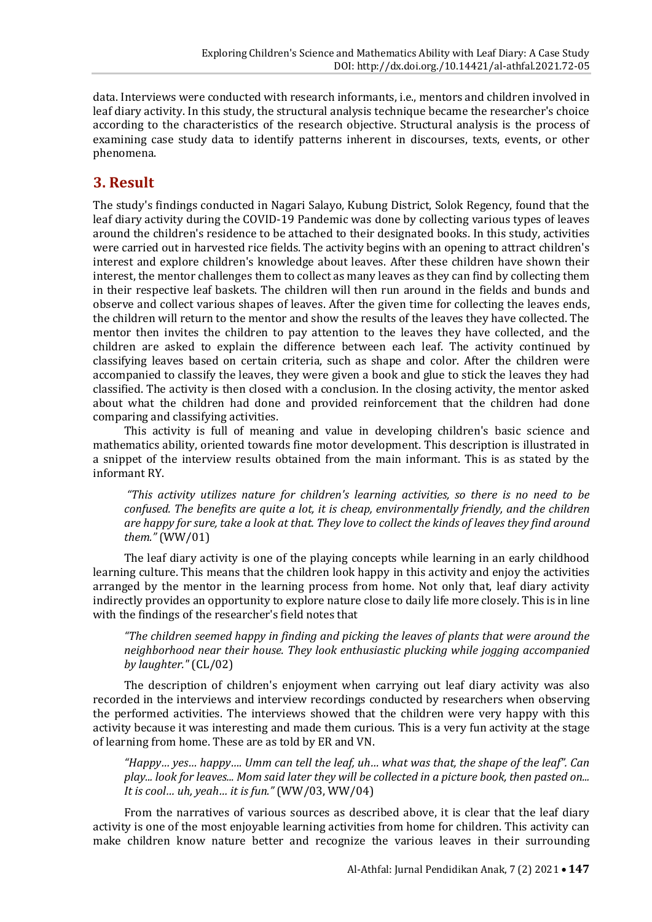data. Interviews were conducted with research informants, i.e., mentors and children involved in leaf diary activity. In this study, the structural analysis technique became the researcher's choice according to the characteristics of the research objective. Structural analysis is the process of examining case study data to identify patterns inherent in discourses, texts, events, or other phenomena.

### **3. Result**

The study's findings conducted in Nagari Salayo, Kubung District, Solok Regency, found that the leaf diary activity during the COVID-19 Pandemic was done by collecting various types of leaves around the children's residence to be attached to their designated books. In this study, activities were carried out in harvested rice fields. The activity begins with an opening to attract children's interest and explore children's knowledge about leaves. After these children have shown their interest, the mentor challenges them to collect as many leaves as they can find by collecting them in their respective leaf baskets. The children will then run around in the fields and bunds and observe and collect various shapes of leaves. After the given time for collecting the leaves ends, the children will return to the mentor and show the results of the leaves they have collected. The mentor then invites the children to pay attention to the leaves they have collected, and the children are asked to explain the difference between each leaf. The activity continued by classifying leaves based on certain criteria, such as shape and color. After the children were accompanied to classify the leaves, they were given a book and glue to stick the leaves they had classified. The activity is then closed with a conclusion. In the closing activity, the mentor asked about what the children had done and provided reinforcement that the children had done comparing and classifying activities.

This activity is full of meaning and value in developing children's basic science and mathematics ability, oriented towards fine motor development. This description is illustrated in a snippet of the interview results obtained from the main informant. This is as stated by the informant RY.

*"This activity utilizes nature for children's learning activities, so there is no need to be confused. The benefits are quite a lot, it is cheap, environmentally friendly, and the children are happy for sure, take a look at that. They love to collect the kinds of leaves they find around them."* (WW/01)

The leaf diary activity is one of the playing concepts while learning in an early childhood learning culture. This means that the children look happy in this activity and enjoy the activities arranged by the mentor in the learning process from home. Not only that, leaf diary activity indirectly provides an opportunity to explore nature close to daily life more closely. This is in line with the findings of the researcher's field notes that

*"The children seemed happy in finding and picking the leaves of plants that were around the neighborhood near their house. They look enthusiastic plucking while jogging accompanied by laughter."* (CL/02)

The description of children's enjoyment when carrying out leaf diary activity was also recorded in the interviews and interview recordings conducted by researchers when observing the performed activities. The interviews showed that the children were very happy with this activity because it was interesting and made them curious. This is a very fun activity at the stage of learning from home. These are as told by ER and VN.

*"Happy… yes… happy…. Umm can tell the leaf, uh… what was that, the shape of the leaf". Can play... look for leaves... Mom said later they will be collected in a picture book, then pasted on... It is cool… uh, yeah… it is fun."* (WW/03, WW/04)

From the narratives of various sources as described above, it is clear that the leaf diary activity is one of the most enjoyable learning activities from home for children. This activity can make children know nature better and recognize the various leaves in their surrounding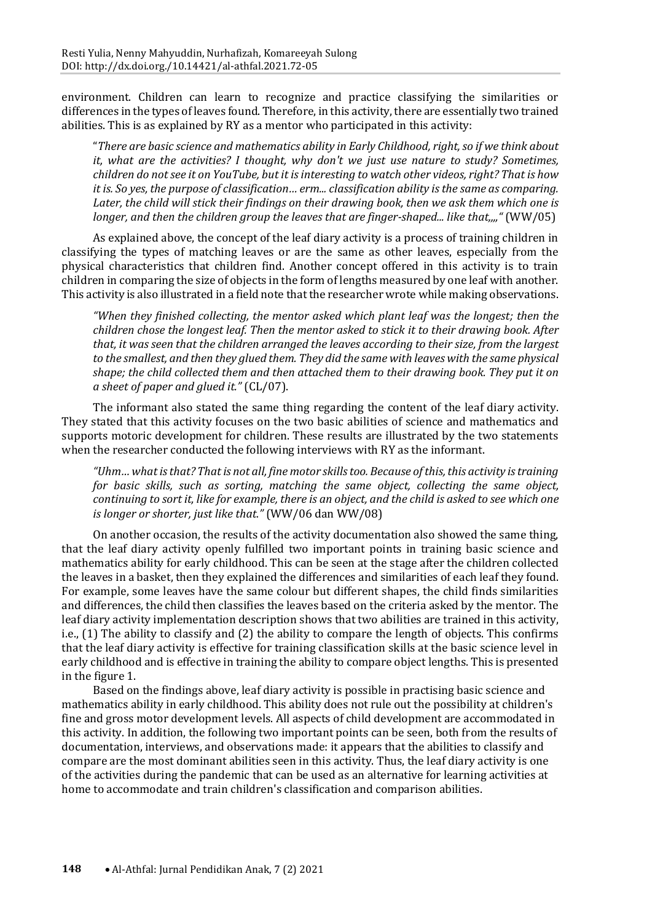environment. Children can learn to recognize and practice classifying the similarities or differences in the types of leaves found. Therefore, in this activity, there are essentially two trained abilities. This is as explained by RY as a mentor who participated in this activity:

"*There are basic science and mathematics ability in Early Childhood, right, so if we think about it, what are the activities? I thought, why don't we just use nature to study? Sometimes, children do notsee it on YouTube, but it isinteresting to watch other videos, right? That is how it is. So yes, the purpose of classification… erm... classification ability is the same as comparing. Later, the child will stick their findings on their drawing book, then we ask them which one is longer, and then the children group the leaves that are finger-shaped... like that,,,,"* (WW/05)

As explained above, the concept of the leaf diary activity is a process of training children in classifying the types of matching leaves or are the same as other leaves, especially from the physical characteristics that children find. Another concept offered in this activity is to train children in comparing the size of objects in the form of lengths measured by one leaf with another. This activity is also illustrated in a field note that the researcher wrote while making observations.

*"When they finished collecting, the mentor asked which plant leaf was the longest; then the children chose the longest leaf. Then the mentor asked to stick it to their drawing book. After that, it was seen that the children arranged the leaves according to their size, from the largest to the smallest, and then they glued them. They did the same with leaves with the same physical shape; the child collected them and then attached them to their drawing book. They put it on a sheet of paper and glued it."* (CL/07).

The informant also stated the same thing regarding the content of the leaf diary activity. They stated that this activity focuses on the two basic abilities of science and mathematics and supports motoric development for children. These results are illustrated by the two statements when the researcher conducted the following interviews with RY as the informant.

*"Uhm… what isthat? Thatis not all, fine motor skills too. Because of this, this activity is training for basic skills, such as sorting, matching the same object, collecting the same object, continuing to sort it, like for example, there is an object, and the child is asked to see which one is longer or shorter, just like that."* (WW/06 dan WW/08)

On another occasion, the results of the activity documentation also showed the same thing, that the leaf diary activity openly fulfilled two important points in training basic science and mathematics ability for early childhood. This can be seen at the stage after the children collected the leaves in a basket, then they explained the differences and similarities of each leaf they found. For example, some leaves have the same colour but different shapes, the child finds similarities and differences, the child then classifies the leaves based on the criteria asked by the mentor. The leaf diary activity implementation description shows that two abilities are trained in this activity, i.e., (1) The ability to classify and (2) the ability to compare the length of objects. This confirms that the leaf diary activity is effective for training classification skills at the basic science level in early childhood and is effective in training the ability to compare object lengths. This is presented in the figure 1.

Based on the findings above, leaf diary activity is possible in practising basic science and mathematics ability in early childhood. This ability does not rule out the possibility at children's fine and gross motor development levels. All aspects of child development are accommodated in this activity. In addition, the following two important points can be seen, both from the results of documentation, interviews, and observations made: it appears that the abilities to classify and compare are the most dominant abilities seen in this activity. Thus, the leaf diary activity is one of the activities during the pandemic that can be used as an alternative for learning activities at home to accommodate and train children's classification and comparison abilities.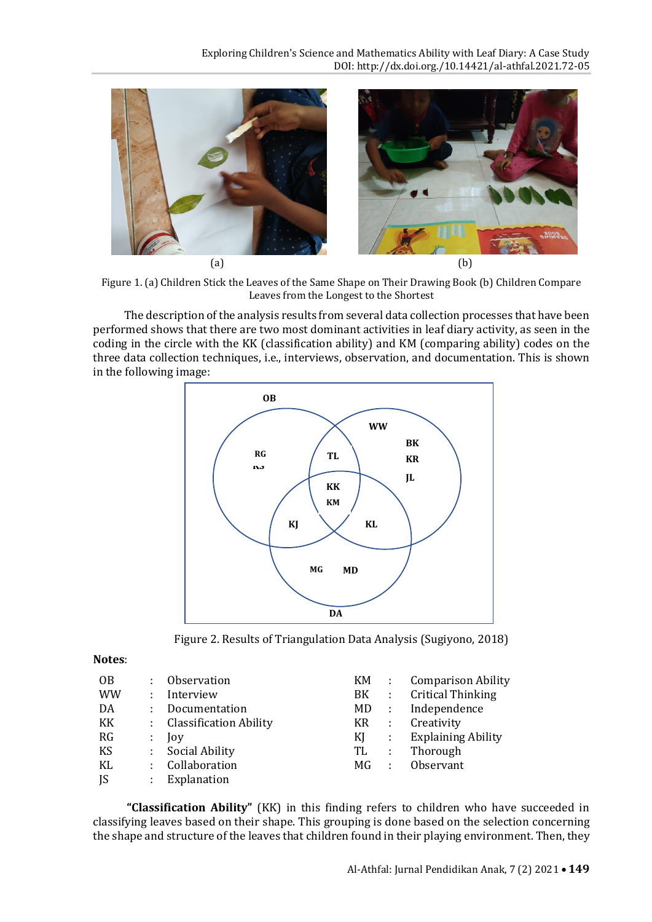

Figure 1. (a) Children Stick the Leaves of the Same Shape on Their Drawing Book (b) Children Compare Leaves from the Longest to the Shortest

The description of the analysis results from several data collection processes that have been performed shows that there are two most dominant activities in leaf diary activity, as seen in the coding in the circle with the KK (classification ability) and KM (comparing ability) codes on the three data collection techniques, i.e., interviews, observation, and documentation. This is shown in the following image:



Figure 2. Results of Triangulation Data Analysis (Sugiyono, 2018)

#### **Notes**:

| <b>OB</b> |    | : Observation            | KM. | $\sim$ 10      | <b>Comparison Ability</b> |
|-----------|----|--------------------------|-----|----------------|---------------------------|
| <b>WW</b> | ÷  | Interview                | BK  | $\sim$ 1.      | <b>Critical Thinking</b>  |
| DA        | ÷. | Documentation            | MD. | $\sim$ 1.      | Independence              |
| KK        |    | : Classification Ability | KR  | - 11           | Creativity                |
| RG        | ÷  | $\log$                   | KI  | $\sim 100$     | <b>Explaining Ability</b> |
| KS        |    | : Social Ability         | TL  | $\mathbb{R}^2$ | Thorough                  |
| KL        |    | : Collaboration          | MG. | $\sim 100$     | Observant                 |
| JS        | ÷  | Explanation              |     |                |                           |

**"Classification Ability"** (KK) in this finding refers to children who have succeeded in classifying leaves based on their shape. This grouping is done based on the selection concerning the shape and structure of the leaves that children found in their playing environment. Then, they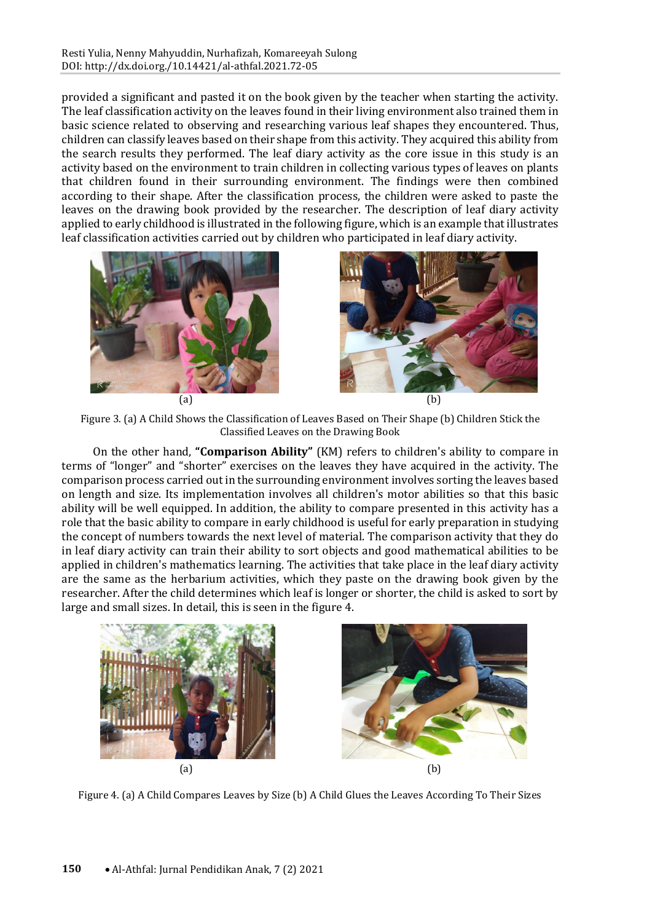provided a significant and pasted it on the book given by the teacher when starting the activity. The leaf classification activity on the leaves found in their living environment also trained them in basic science related to observing and researching various leaf shapes they encountered. Thus, children can classify leaves based on their shape from this activity. They acquired this ability from the search results they performed. The leaf diary activity as the core issue in this study is an activity based on the environment to train children in collecting various types of leaves on plants that children found in their surrounding environment. The findings were then combined according to their shape. After the classification process, the children were asked to paste the leaves on the drawing book provided by the researcher. The description of leaf diary activity applied to early childhood is illustrated in the following figure, which is an example that illustrates leaf classification activities carried out by children who participated in leaf diary activity.





Figure 3. (a) A Child Shows the Classification of Leaves Based on Their Shape (b) Children Stick the Classified Leaves on the Drawing Book

On the other hand, **"Comparison Ability"** (KM) refers to children's ability to compare in terms of "longer" and "shorter" exercises on the leaves they have acquired in the activity. The comparison process carried out in the surrounding environment involves sorting the leaves based on length and size. Its implementation involves all children's motor abilities so that this basic ability will be well equipped. In addition, the ability to compare presented in this activity has a role that the basic ability to compare in early childhood is useful for early preparation in studying the concept of numbers towards the next level of material. The comparison activity that they do in leaf diary activity can train their ability to sort objects and good mathematical abilities to be applied in children's mathematics learning. The activities that take place in the leaf diary activity are the same as the herbarium activities, which they paste on the drawing book given by the researcher. After the child determines which leaf is longer or shorter, the child is asked to sort by large and small sizes. In detail, this is seen in the figure 4.



Figure 4. (a) A Child Compares Leaves by Size (b) A Child Glues the Leaves According To Their Sizes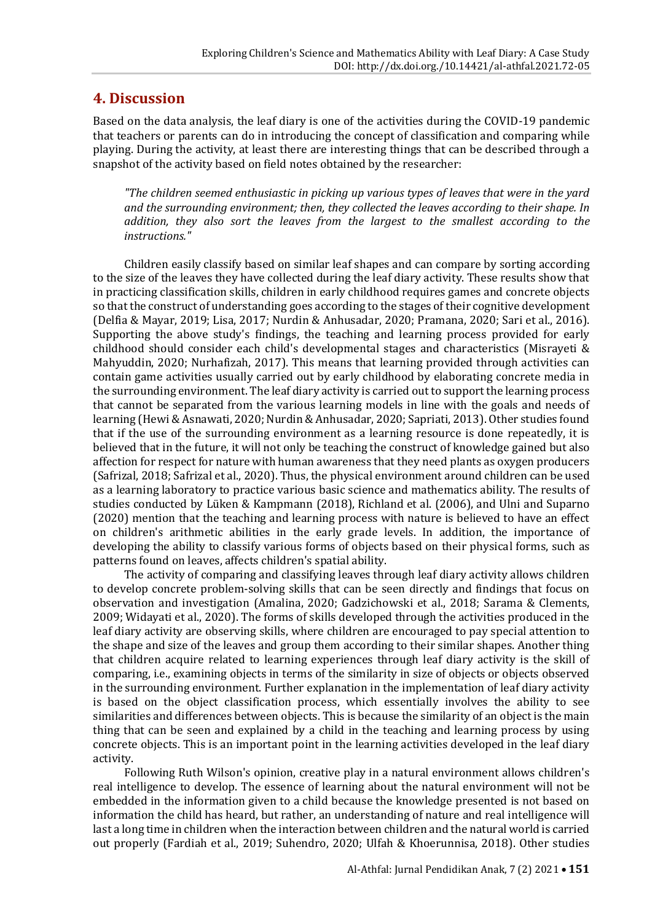### **4. Discussion**

Based on the data analysis, the leaf diary is one of the activities during the COVID-19 pandemic that teachers or parents can do in introducing the concept of classification and comparing while playing. During the activity, at least there are interesting things that can be described through a snapshot of the activity based on field notes obtained by the researcher:

*"The children seemed enthusiastic in picking up various types of leaves that were in the yard and the surrounding environment; then, they collected the leaves according to their shape. In addition, they also sort the leaves from the largest to the smallest according to the instructions."*

Children easily classify based on similar leaf shapes and can compare by sorting according to the size of the leaves they have collected during the leaf diary activity. These results show that in practicing classification skills, children in early childhood requires games and concrete objects so that the construct of understanding goes according to the stages of their cognitive development (Delfia & Mayar, 2019; Lisa, 2017; Nurdin & Anhusadar, 2020; Pramana, 2020; Sari et al., 2016). Supporting the above study's findings, the teaching and learning process provided for early childhood should consider each child's developmental stages and characteristics (Misrayeti & Mahyuddin, 2020; Nurhafizah, 2017). This means that learning provided through activities can contain game activities usually carried out by early childhood by elaborating concrete media in the surrounding environment. The leaf diary activity is carried out to support the learning process that cannot be separated from the various learning models in line with the goals and needs of learning (Hewi & Asnawati, 2020; Nurdin & Anhusadar, 2020; Sapriati, 2013). Other studies found that if the use of the surrounding environment as a learning resource is done repeatedly, it is believed that in the future, it will not only be teaching the construct of knowledge gained but also affection for respect for nature with human awareness that they need plants as oxygen producers (Safrizal, 2018; Safrizal et al., 2020). Thus, the physical environment around children can be used as a learning laboratory to practice various basic science and mathematics ability. The results of studies conducted by Lüken & Kampmann (2018), Richland et al. (2006), and Ulni and Suparno (2020) mention that the teaching and learning process with nature is believed to have an effect on children's arithmetic abilities in the early grade levels. In addition, the importance of developing the ability to classify various forms of objects based on their physical forms, such as patterns found on leaves, affects children's spatial ability.

The activity of comparing and classifying leaves through leaf diary activity allows children to develop concrete problem-solving skills that can be seen directly and findings that focus on observation and investigation (Amalina, 2020; Gadzichowski et al., 2018; Sarama & Clements, 2009; Widayati et al., 2020). The forms of skills developed through the activities produced in the leaf diary activity are observing skills, where children are encouraged to pay special attention to the shape and size of the leaves and group them according to their similar shapes. Another thing that children acquire related to learning experiences through leaf diary activity is the skill of comparing, i.e., examining objects in terms of the similarity in size of objects or objects observed in the surrounding environment. Further explanation in the implementation of leaf diary activity is based on the object classification process, which essentially involves the ability to see similarities and differences between objects. This is because the similarity of an object is the main thing that can be seen and explained by a child in the teaching and learning process by using concrete objects. This is an important point in the learning activities developed in the leaf diary activity.

Following Ruth Wilson's opinion, creative play in a natural environment allows children's real intelligence to develop. The essence of learning about the natural environment will not be embedded in the information given to a child because the knowledge presented is not based on information the child has heard, but rather, an understanding of nature and real intelligence will last a long time in children when the interaction between children and the natural world is carried out properly (Fardiah et al., 2019; Suhendro, 2020; Ulfah & Khoerunnisa, 2018). Other studies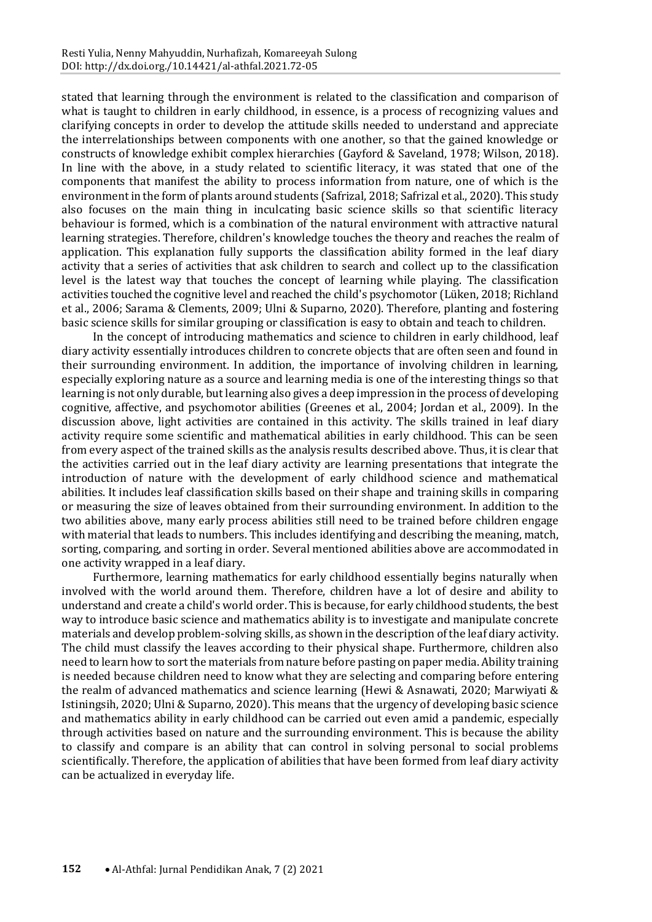stated that learning through the environment is related to the classification and comparison of what is taught to children in early childhood, in essence, is a process of recognizing values and clarifying concepts in order to develop the attitude skills needed to understand and appreciate the interrelationships between components with one another, so that the gained knowledge or constructs of knowledge exhibit complex hierarchies (Gayford & Saveland, 1978; Wilson, 2018). In line with the above, in a study related to scientific literacy, it was stated that one of the components that manifest the ability to process information from nature, one of which is the environment in the form of plants around students (Safrizal, 2018; Safrizal et al., 2020). This study also focuses on the main thing in inculcating basic science skills so that scientific literacy behaviour is formed, which is a combination of the natural environment with attractive natural learning strategies. Therefore, children's knowledge touches the theory and reaches the realm of application. This explanation fully supports the classification ability formed in the leaf diary activity that a series of activities that ask children to search and collect up to the classification level is the latest way that touches the concept of learning while playing. The classification activities touched the cognitive level and reached the child's psychomotor (Lüken, 2018; Richland et al., 2006; Sarama & Clements, 2009; Ulni & Suparno, 2020). Therefore, planting and fostering basic science skills for similar grouping or classification is easy to obtain and teach to children.

In the concept of introducing mathematics and science to children in early childhood, leaf diary activity essentially introduces children to concrete objects that are often seen and found in their surrounding environment. In addition, the importance of involving children in learning, especially exploring nature as a source and learning media is one of the interesting things so that learning is not only durable, but learning also gives a deep impression in the process of developing cognitive, affective, and psychomotor abilities (Greenes et al., 2004; Jordan et al., 2009). In the discussion above, light activities are contained in this activity. The skills trained in leaf diary activity require some scientific and mathematical abilities in early childhood. This can be seen from every aspect of the trained skills as the analysis results described above. Thus, it is clear that the activities carried out in the leaf diary activity are learning presentations that integrate the introduction of nature with the development of early childhood science and mathematical abilities. It includes leaf classification skills based on their shape and training skills in comparing or measuring the size of leaves obtained from their surrounding environment. In addition to the two abilities above, many early process abilities still need to be trained before children engage with material that leads to numbers. This includes identifying and describing the meaning, match, sorting, comparing, and sorting in order. Several mentioned abilities above are accommodated in one activity wrapped in a leaf diary.

Furthermore, learning mathematics for early childhood essentially begins naturally when involved with the world around them. Therefore, children have a lot of desire and ability to understand and create a child's world order. This is because, for early childhood students, the best way to introduce basic science and mathematics ability is to investigate and manipulate concrete materials and develop problem-solving skills, as shown in the description of the leaf diary activity. The child must classify the leaves according to their physical shape. Furthermore, children also need to learn how to sort the materials from nature before pasting on paper media. Ability training is needed because children need to know what they are selecting and comparing before entering the realm of advanced mathematics and science learning (Hewi & Asnawati, 2020; Marwiyati & Istiningsih, 2020; Ulni & Suparno, 2020). This means that the urgency of developing basic science and mathematics ability in early childhood can be carried out even amid a pandemic, especially through activities based on nature and the surrounding environment. This is because the ability to classify and compare is an ability that can control in solving personal to social problems scientifically. Therefore, the application of abilities that have been formed from leaf diary activity can be actualized in everyday life.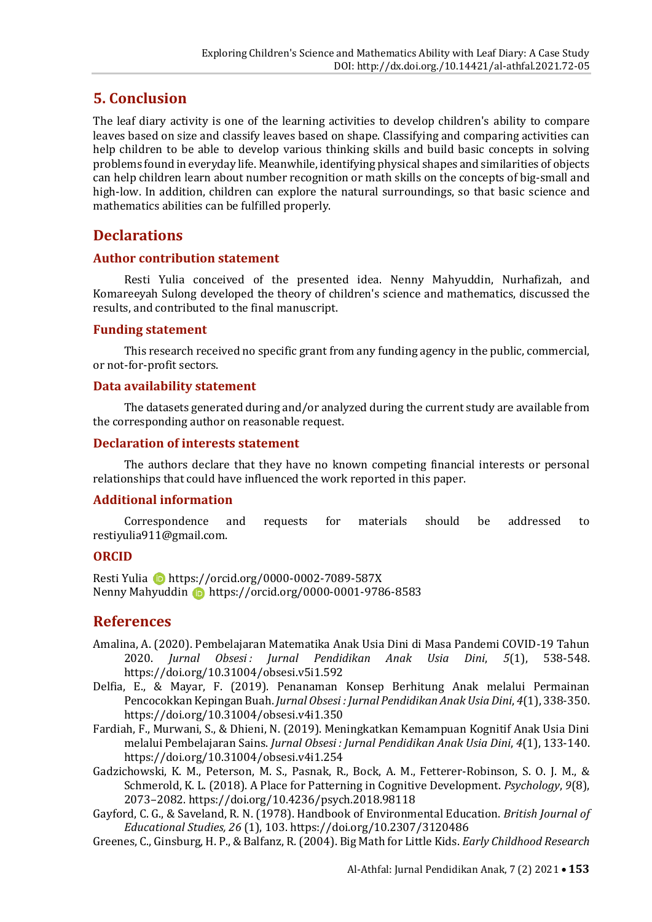### **5. Conclusion**

The leaf diary activity is one of the learning activities to develop children's ability to compare leaves based on size and classify leaves based on shape. Classifying and comparing activities can help children to be able to develop various thinking skills and build basic concepts in solving problems found in everyday life. Meanwhile, identifying physical shapes and similarities of objects can help children learn about number recognition or math skills on the concepts of big-small and high-low. In addition, children can explore the natural surroundings, so that basic science and mathematics abilities can be fulfilled properly.

### **Declarations**

#### **Author contribution statement**

Resti Yulia conceived of the presented idea. Nenny Mahyuddin, Nurhafizah, and Komareeyah Sulong developed the theory of children's science and mathematics, discussed the results, and contributed to the final manuscript.

#### **Funding statement**

This research received no specific grant from any funding agency in the public, commercial, or not-for-profit sectors.

#### **Data availability statement**

The datasets generated during and/or analyzed during the current study are available from the corresponding author on reasonable request.

#### **Declaration of interests statement**

The authors declare that they have no known competing financial interests or personal relationships that could have influenced the work reported in this paper.

#### **Additional information**

Correspondence and requests for materials should be addressed to restiyulia911@gmail.com.

#### **ORCID**

Resti Yulia D https://orcid.org/0000-0002-7089-587X Nenny Mahyuddin **b** https://orcid.org/0000-0001-9786-8583

#### **References**

- Amalina, A. (2020). Pembelajaran Matematika Anak Usia Dini di Masa Pandemi COVID-19 Tahun 2020. *Jurnal Obsesi : Jurnal Pendidikan Anak Usia Dini*, *5*(1), 538-548. https://doi.org/10.31004/obsesi.v5i1.592
- Delfia, E., & Mayar, F. (2019). Penanaman Konsep Berhitung Anak melalui Permainan Pencocokkan Kepingan Buah. *Jurnal Obsesi : Jurnal Pendidikan Anak Usia Dini*, *4*(1), 338-350. https://doi.org/10.31004/obsesi.v4i1.350
- Fardiah, F., Murwani, S., & Dhieni, N. (2019). Meningkatkan Kemampuan Kognitif Anak Usia Dini melalui Pembelajaran Sains. *Jurnal Obsesi : Jurnal Pendidikan Anak Usia Dini*, *4*(1), 133-140. https://doi.org/10.31004/obsesi.v4i1.254
- Gadzichowski, K. M., Peterson, M. S., Pasnak, R., Bock, A. M., Fetterer-Robinson, S. O. J. M., & Schmerold, K. L. (2018). A Place for Patterning in Cognitive Development. *Psychology*, *9*(8), 2073–2082. https://doi.org/10.4236/psych.2018.98118
- Gayford, C. G., & Saveland, R. N. (1978). Handbook of Environmental Education. *British Journal of Educational Studies, 26* (1), 103. https://doi.org/10.2307/3120486
- Greenes, C., Ginsburg, H. P., & Balfanz, R. (2004). Big Math for Little Kids. *Early Childhood Research*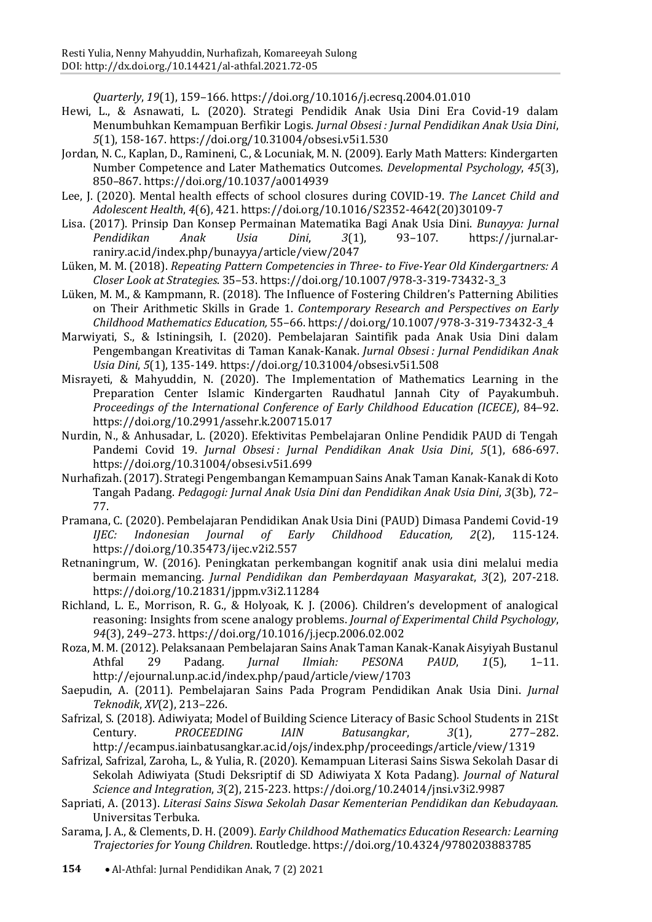*Quarterly*, *19*(1), 159–166. https://doi.org/10.1016/j.ecresq.2004.01.010

- Hewi, L., & Asnawati, L. (2020). Strategi Pendidik Anak Usia Dini Era Covid-19 dalam Menumbuhkan Kemampuan Berfikir Logis. *Jurnal Obsesi : Jurnal Pendidikan Anak Usia Dini*, *5*(1), 158-167. https://doi.org/10.31004/obsesi.v5i1.530
- Jordan, N. C., Kaplan, D., Ramineni, C., & Locuniak, M. N. (2009). Early Math Matters: Kindergarten Number Competence and Later Mathematics Outcomes. *Developmental Psychology*, *45*(3), 850–867. https://doi.org/10.1037/a0014939
- Lee, J. (2020). Mental health effects of school closures during COVID-19. *The Lancet Child and Adolescent Health*, *4*(6), 421. https://doi.org/10.1016/S2352-4642(20)30109-7
- Lisa. (2017). Prinsip Dan Konsep Permainan Matematika Bagi Anak Usia Dini. *Bunayya: Jurnal Pendidikan Anak Usia Dini*, *3*(1), 93–107. https://jurnal.arraniry.ac.id/index.php/bunayya/article/view/2047
- Lüken, M. M. (2018). *Repeating Pattern Competencies in Three- to Five-Year Old Kindergartners: A Closer Look at Strategies*. 35–53. https://doi.org/10.1007/978-3-319-73432-3\_3
- Lüken, M. M., & Kampmann, R. (2018). The Influence of Fostering Children's Patterning Abilities on Their Arithmetic Skills in Grade 1. *Contemporary Research and Perspectives on Early Childhood Mathematics Education,* 55–66. https://doi.org/10.1007/978-3-319-73432-3\_4
- Marwiyati, S., & Istiningsih, I. (2020). Pembelajaran Saintifik pada Anak Usia Dini dalam Pengembangan Kreativitas di Taman Kanak-Kanak. *Jurnal Obsesi : Jurnal Pendidikan Anak Usia Dini*, *5*(1), 135-149. https://doi.org/10.31004/obsesi.v5i1.508
- Misrayeti, & Mahyuddin, N. (2020). The Implementation of Mathematics Learning in the Preparation Center Islamic Kindergarten Raudhatul Jannah City of Payakumbuh. *Proceedings of the International Conference of Early Childhood Education (ICECE)*, 84–92. https://doi.org/10.2991/assehr.k.200715.017
- Nurdin, N., & Anhusadar, L. (2020). Efektivitas Pembelajaran Online Pendidik PAUD di Tengah Pandemi Covid 19. *Jurnal Obsesi : Jurnal Pendidikan Anak Usia Dini*, *5*(1), 686-697. https://doi.org/10.31004/obsesi.v5i1.699
- Nurhafizah. (2017). Strategi Pengembangan Kemampuan Sains Anak Taman Kanak-Kanak di Koto Tangah Padang. *Pedagogi: Jurnal Anak Usia Dini dan Pendidikan Anak Usia Dini*, *3*(3b), 72– 77.
- Pramana, C. (2020). Pembelajaran Pendidikan Anak Usia Dini (PAUD) Dimasa Pandemi Covid-19 *IJEC: Indonesian Journal of Early Childhood Education, 2*(2), 115-124. https://doi.org/10.35473/ijec.v2i2.557
- Retnaningrum, W. (2016). Peningkatan perkembangan kognitif anak usia dini melalui media bermain memancing. *Jurnal Pendidikan dan Pemberdayaan Masyarakat*, *3*(2), 207-218. https://doi.org/10.21831/jppm.v3i2.11284
- Richland, L. E., Morrison, R. G., & Holyoak, K. J. (2006). Children's development of analogical reasoning: Insights from scene analogy problems. *Journal of Experimental Child Psychology*, *94*(3), 249–273. https://doi.org/10.1016/j.jecp.2006.02.002
- Roza, M. M. (2012). Pelaksanaan Pembelajaran Sains Anak Taman Kanak-Kanak Aisyiyah Bustanul Athfal 29 Padang. *Jurnal Ilmiah: PESONA PAUD*, *1*(5), 1–11. http://ejournal.unp.ac.id/index.php/paud/article/view/1703
- Saepudin, A. (2011). Pembelajaran Sains Pada Program Pendidikan Anak Usia Dini. *Jurnal Teknodik*, *XV*(2), 213–226.
- Safrizal, S. (2018). Adiwiyata; Model of Building Science Literacy of Basic School Students in 21St Century. *PROCEEDING IAIN Batusangkar*, *3*(1), 277–282. http://ecampus.iainbatusangkar.ac.id/ojs/index.php/proceedings/article/view/1319
- Safrizal, Safrizal, Zaroha, L., & Yulia, R. (2020). Kemampuan Literasi Sains Siswa Sekolah Dasar di Sekolah Adiwiyata (Studi Deksriptif di SD Adiwiyata X Kota Padang). *Journal of Natural Science and Integration*, *3*(2), 215-223. https://doi.org/10.24014/jnsi.v3i2.9987
- Sapriati, A. (2013). *Literasi Sains Siswa Sekolah Dasar Kementerian Pendidikan dan Kebudayaan*. Universitas Terbuka.
- Sarama, J. A., & Clements, D. H. (2009). *Early Childhood Mathematics Education Research: Learning Trajectories for Young Children*. Routledge. https://doi.org/10.4324/9780203883785